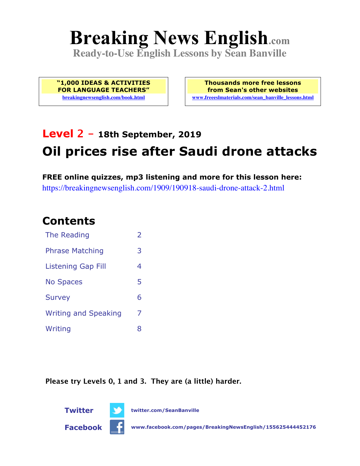# **Breaking News English.com**

**Ready-to-Use English Lessons by Sean Banville**

**"1,000 IDEAS & ACTIVITIES FOR LANGUAGE TEACHERS" breakingnewsenglish.com/book.html**

**Thousands more free lessons from Sean's other websites www.freeeslmaterials.com/sean\_banville\_lessons.html**

## **Level 2 - 18th September, 2019 Oil prices rise after Saudi drone attacks**

**FREE online quizzes, mp3 listening and more for this lesson here:** https://breakingnewsenglish.com/1909/190918-saudi-drone-attack-2.html

#### **Contents**

| The Reading                 | $\overline{2}$ |
|-----------------------------|----------------|
| <b>Phrase Matching</b>      | 3              |
| <b>Listening Gap Fill</b>   | 4              |
| <b>No Spaces</b>            | 5              |
| <b>Survey</b>               | 6              |
| <b>Writing and Speaking</b> | 7              |
| Writing                     | 8              |

**Please try Levels 0, 1 and 3. They are (a little) harder.**



**Twitter twitter.com/SeanBanville**

**Facebook www.facebook.com/pages/BreakingNewsEnglish/155625444452176**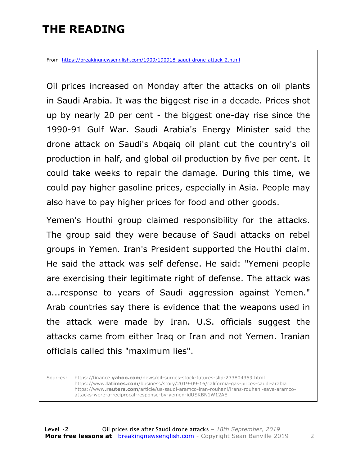#### **THE READING**

From https://breakingnewsenglish.com/1909/190918-saudi-drone-attack-2.html

Oil prices increased on Monday after the attacks on oil plants in Saudi Arabia. It was the biggest rise in a decade. Prices shot up by nearly 20 per cent - the biggest one-day rise since the 1990-91 Gulf War. Saudi Arabia's Energy Minister said the drone attack on Saudi's Abqaiq oil plant cut the country's oil production in half, and global oil production by five per cent. It could take weeks to repair the damage. During this time, we could pay higher gasoline prices, especially in Asia. People may also have to pay higher prices for food and other goods.

Yemen's Houthi group claimed responsibility for the attacks. The group said they were because of Saudi attacks on rebel groups in Yemen. Iran's President supported the Houthi claim. He said the attack was self defense. He said: "Yemeni people are exercising their legitimate right of defense. The attack was a...response to years of Saudi aggression against Yemen." Arab countries say there is evidence that the weapons used in the attack were made by Iran. U.S. officials suggest the attacks came from either Iraq or Iran and not Yemen. Iranian officials called this "maximum lies".

Sources: https://finance.**yahoo.com**/news/oil-surges-stock-futures-slip-233804359.html https://www.**latimes.com**/business/story/2019-09-16/california-gas-prices-saudi-arabia https://www.**reuters.com**/article/us-saudi-aramco-iran-rouhani/irans-rouhani-says-aramcoattacks-were-a-reciprocal-response-by-yemen-idUSKBN1W12AE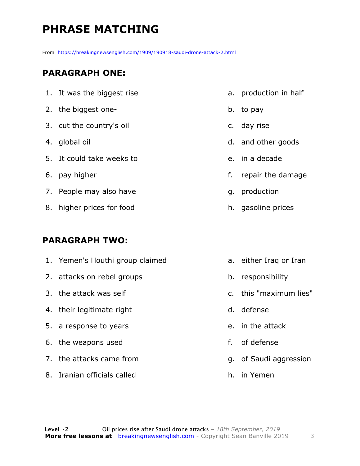### **PHRASE MATCHING**

From https://breakingnewsenglish.com/1909/190918-saudi-drone-attack-2.html

#### **PARAGRAPH ONE:**

| 1. It was the biggest rise |    | a. production in half |
|----------------------------|----|-----------------------|
| 2. the biggest one-        |    | b. to pay             |
| 3. cut the country's oil   |    | c. day rise           |
| 4. global oil              |    | d. and other goods    |
| 5. It could take weeks to  |    | e, in a decade        |
| 6. pay higher              | f. | repair the damage     |
| 7. People may also have    |    | g. production         |
| 8. higher prices for food  |    | h. gasoline prices    |

#### **PARAGRAPH TWO:**

| 1. Yemen's Houthi group claimed |    | a. either Iraq or Iran |
|---------------------------------|----|------------------------|
| 2. attacks on rebel groups      |    | b. responsibility      |
| 3. the attack was self          |    | c. this "maximum lies" |
| 4. their legitimate right       |    | d. defense             |
| 5. a response to years          |    | e. in the attack       |
| 6. the weapons used             | f. | of defense             |
| 7. the attacks came from        |    | g. of Saudi aggression |
| 8. Iranian officials called     |    | h. in Yemen            |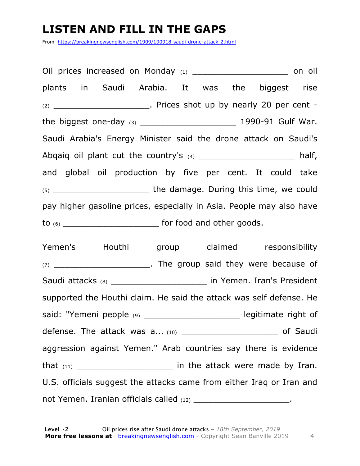#### **LISTEN AND FILL IN THE GAPS**

From https://breakingnewsenglish.com/1909/190918-saudi-drone-attack-2.html

Oil prices increased on Monday (1) example the control on oil plants in Saudi Arabia. It was the biggest rise  $(2)$   $\qquad \qquad$  Prices shot up by nearly 20 per cent the biggest one-day (3) \_\_\_\_\_\_\_\_\_\_\_\_\_\_\_\_\_\_\_ 1990-91 Gulf War. Saudi Arabia's Energy Minister said the drone attack on Saudi's Abqaiq oil plant cut the country's  $(4)$  example  $\mathcal{A}$  half, and global oil production by five per cent. It could take (5) \_\_\_\_\_\_\_\_\_\_\_\_\_\_\_\_\_\_\_ the damage. During this time, we could pay higher gasoline prices, especially in Asia. People may also have to  $(6)$  \_\_\_\_\_\_\_\_\_\_\_\_\_\_\_\_\_\_\_\_\_\_\_\_\_\_\_\_\_\_\_\_ for food and other goods.

Yemen's Houthi group claimed responsibility (7) The group said they were because of Saudi attacks (8) \_\_\_\_\_\_\_\_\_\_\_\_\_\_\_\_\_\_\_\_\_\_\_\_ in Yemen. Iran's President supported the Houthi claim. He said the attack was self defense. He said: "Yemeni people (9) contains the legitimate right of defense. The attack was a... (10) \_\_\_\_\_\_\_\_\_\_\_\_\_\_\_\_\_\_\_ of Saudi aggression against Yemen." Arab countries say there is evidence that (11) \_\_\_\_\_\_\_\_\_\_\_\_\_\_\_\_\_\_\_ in the attack were made by Iran. U.S. officials suggest the attacks came from either Iraq or Iran and not Yemen. Iranian officials called (12) https://www.charged.com/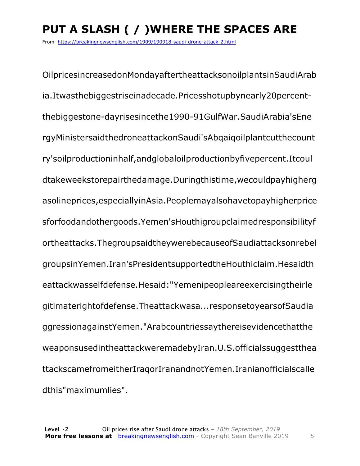## **PUT A SLASH ( / )WHERE THE SPACES ARE**

From https://breakingnewsenglish.com/1909/190918-saudi-drone-attack-2.html

OilpricesincreasedonMondayaftertheattacksonoilplantsinSaudiArab ia.Itwasthebiggestriseinadecade.Pricesshotupbynearly20percentthebiggestone-dayrisesincethe1990-91GulfWar.SaudiArabia'sEne rgyMinistersaidthedroneattackonSaudi'sAbqaiqoilplantcutthecount ry'soilproductioninhalf,andglobaloilproductionbyfivepercent.Itcoul dtakeweekstorepairthedamage.Duringthistime,wecouldpayhigherg asolineprices,especiallyinAsia.Peoplemayalsohavetopayhigherprice sforfoodandothergoods.Yemen'sHouthigroupclaimedresponsibilityf ortheattacks.ThegroupsaidtheywerebecauseofSaudiattacksonrebel groupsinYemen.Iran'sPresidentsupportedtheHouthiclaim.Hesaidth eattackwasselfdefense.Hesaid:"Yemenipeopleareexercisingtheirle gitimaterightofdefense.Theattackwasa...responsetoyearsofSaudia ggressionagainstYemen."Arabcountriessaythereisevidencethatthe weaponsusedintheattackweremadebyIran.U.S.officialssuggestthea ttackscamefromeitherIraqorIranandnotYemen.Iranianofficialscalle dthis"maximumlies".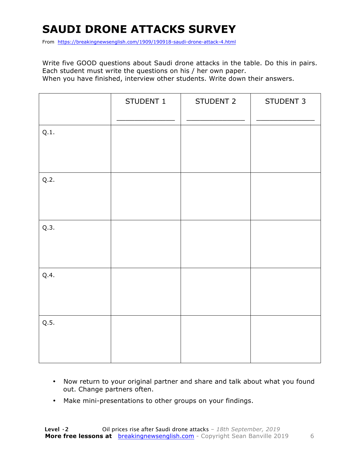### **SAUDI DRONE ATTACKS SURVEY**

From https://breakingnewsenglish.com/1909/190918-saudi-drone-attack-4.html

Write five GOOD questions about Saudi drone attacks in the table. Do this in pairs. Each student must write the questions on his / her own paper. When you have finished, interview other students. Write down their answers.

|      | STUDENT 1 | STUDENT 2 | STUDENT 3 |
|------|-----------|-----------|-----------|
| Q.1. |           |           |           |
| Q.2. |           |           |           |
| Q.3. |           |           |           |
| Q.4. |           |           |           |
| Q.5. |           |           |           |

- Now return to your original partner and share and talk about what you found out. Change partners often.
- Make mini-presentations to other groups on your findings.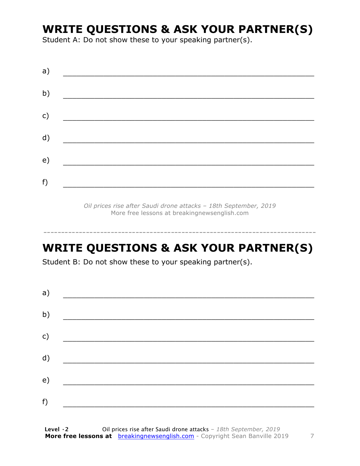#### **WRITE QUESTIONS & ASK YOUR PARTNER(S)**

Student A: Do not show these to your speaking partner(s).

*Oil prices rise after Saudi drone attacks – 18th September, 2019* More free lessons at breakingnewsenglish.com

#### **WRITE QUESTIONS & ASK YOUR PARTNER(S)**

-----------------------------------------------------------------------------

Student B: Do not show these to your speaking partner(s).

| a) |  |  |
|----|--|--|
| b) |  |  |
| c) |  |  |
| d) |  |  |
| e) |  |  |
| f) |  |  |
|    |  |  |